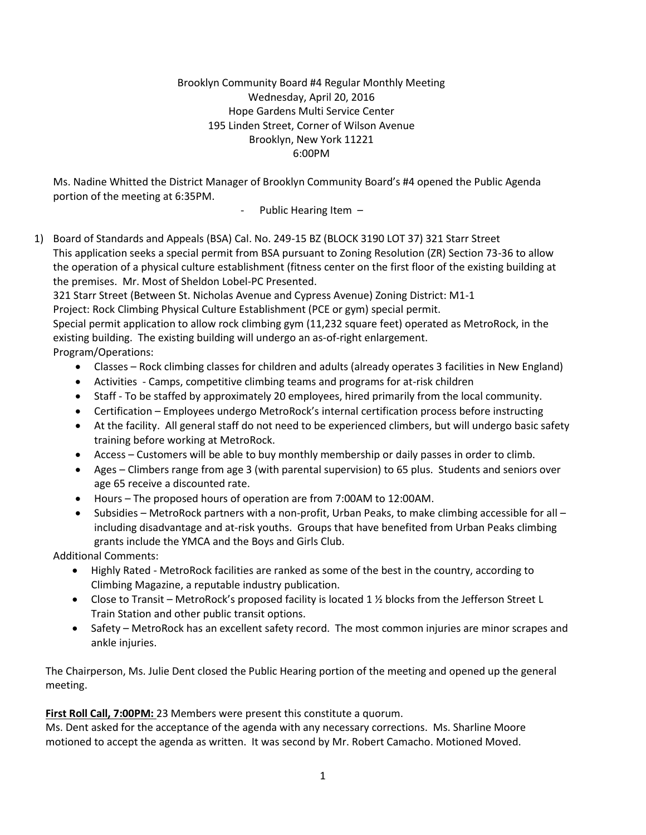## Brooklyn Community Board #4 Regular Monthly Meeting Wednesday, April 20, 2016 Hope Gardens Multi Service Center 195 Linden Street, Corner of Wilson Avenue Brooklyn, New York 11221 6:00PM

Ms. Nadine Whitted the District Manager of Brooklyn Community Board's #4 opened the Public Agenda portion of the meeting at 6:35PM.

Public Hearing Item  $-$ 

1) Board of Standards and Appeals (BSA) Cal. No. 249-15 BZ (BLOCK 3190 LOT 37) 321 Starr Street This application seeks a special permit from BSA pursuant to Zoning Resolution (ZR) Section 73-36 to allow the operation of a physical culture establishment (fitness center on the first floor of the existing building at the premises. Mr. Most of Sheldon Lobel-PC Presented.

321 Starr Street (Between St. Nicholas Avenue and Cypress Avenue) Zoning District: M1-1 Project: Rock Climbing Physical Culture Establishment (PCE or gym) special permit.

Special permit application to allow rock climbing gym (11,232 square feet) operated as MetroRock, in the existing building. The existing building will undergo an as-of-right enlargement.

Program/Operations:

- Classes Rock climbing classes for children and adults (already operates 3 facilities in New England)
- Activities Camps, competitive climbing teams and programs for at-risk children
- Staff To be staffed by approximately 20 employees, hired primarily from the local community.
- Certification Employees undergo MetroRock's internal certification process before instructing
- At the facility. All general staff do not need to be experienced climbers, but will undergo basic safety training before working at MetroRock.
- Access Customers will be able to buy monthly membership or daily passes in order to climb.
- Ages Climbers range from age 3 (with parental supervision) to 65 plus. Students and seniors over age 65 receive a discounted rate.
- Hours The proposed hours of operation are from 7:00AM to 12:00AM.
- Subsidies MetroRock partners with a non-profit, Urban Peaks, to make climbing accessible for all including disadvantage and at-risk youths. Groups that have benefited from Urban Peaks climbing grants include the YMCA and the Boys and Girls Club.

Additional Comments:

- Highly Rated MetroRock facilities are ranked as some of the best in the country, according to Climbing Magazine, a reputable industry publication.
- Close to Transit MetroRock's proposed facility is located 1  $\frac{1}{2}$  blocks from the Jefferson Street L Train Station and other public transit options.
- Safety MetroRock has an excellent safety record. The most common injuries are minor scrapes and ankle injuries.

The Chairperson, Ms. Julie Dent closed the Public Hearing portion of the meeting and opened up the general meeting.

First Roll Call, 7:00PM: 23 Members were present this constitute a quorum.

Ms. Dent asked for the acceptance of the agenda with any necessary corrections. Ms. Sharline Moore motioned to accept the agenda as written. It was second by Mr. Robert Camacho. Motioned Moved.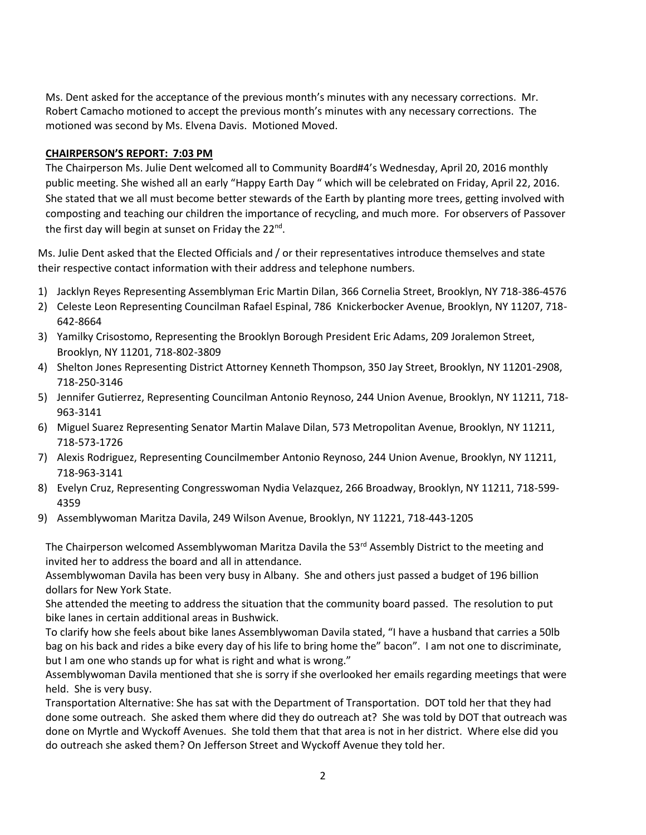Ms. Dent asked for the acceptance of the previous month's minutes with any necessary corrections. Mr. Robert Camacho motioned to accept the previous month's minutes with any necessary corrections. The motioned was second by Ms. Elvena Davis. Motioned Moved.

#### **CHAIRPERSON'S REPORT: 7:03 PM**

The Chairperson Ms. Julie Dent welcomed all to Community Board#4's Wednesday, April 20, 2016 monthly public meeting. She wished all an early "Happy Earth Day " which will be celebrated on Friday, April 22, 2016. She stated that we all must become better stewards of the Earth by planting more trees, getting involved with composting and teaching our children the importance of recycling, and much more. For observers of Passover the first day will begin at sunset on Friday the 22<sup>nd</sup>.

Ms. Julie Dent asked that the Elected Officials and / or their representatives introduce themselves and state their respective contact information with their address and telephone numbers.

- 1) Jacklyn Reyes Representing Assemblyman Eric Martin Dilan, 366 Cornelia Street, Brooklyn, NY 718-386-4576
- 2) Celeste Leon Representing Councilman Rafael Espinal, 786 Knickerbocker Avenue, Brooklyn, NY 11207, 718- 642-8664
- 3) Yamilky Crisostomo, Representing the Brooklyn Borough President Eric Adams, 209 Joralemon Street, Brooklyn, NY 11201, 718-802-3809
- 4) Shelton Jones Representing District Attorney Kenneth Thompson, 350 Jay Street, Brooklyn, NY 11201-2908, 718-250-3146
- 5) Jennifer Gutierrez, Representing Councilman Antonio Reynoso, 244 Union Avenue, Brooklyn, NY 11211, 718- 963-3141
- 6) Miguel Suarez Representing Senator Martin Malave Dilan, 573 Metropolitan Avenue, Brooklyn, NY 11211, 718-573-1726
- 7) Alexis Rodriguez, Representing Councilmember Antonio Reynoso, 244 Union Avenue, Brooklyn, NY 11211, 718-963-3141
- 8) Evelyn Cruz, Representing Congresswoman Nydia Velazquez, 266 Broadway, Brooklyn, NY 11211, 718-599- 4359
- 9) Assemblywoman Maritza Davila, 249 Wilson Avenue, Brooklyn, NY 11221, 718-443-1205

The Chairperson welcomed Assemblywoman Maritza Davila the 53<sup>rd</sup> Assembly District to the meeting and invited her to address the board and all in attendance.

Assemblywoman Davila has been very busy in Albany. She and others just passed a budget of 196 billion dollars for New York State.

She attended the meeting to address the situation that the community board passed. The resolution to put bike lanes in certain additional areas in Bushwick.

To clarify how she feels about bike lanes Assemblywoman Davila stated, "I have a husband that carries a 50lb bag on his back and rides a bike every day of his life to bring home the" bacon". I am not one to discriminate, but I am one who stands up for what is right and what is wrong."

Assemblywoman Davila mentioned that she is sorry if she overlooked her emails regarding meetings that were held. She is very busy.

Transportation Alternative: She has sat with the Department of Transportation. DOT told her that they had done some outreach. She asked them where did they do outreach at? She was told by DOT that outreach was done on Myrtle and Wyckoff Avenues. She told them that that area is not in her district. Where else did you do outreach she asked them? On Jefferson Street and Wyckoff Avenue they told her.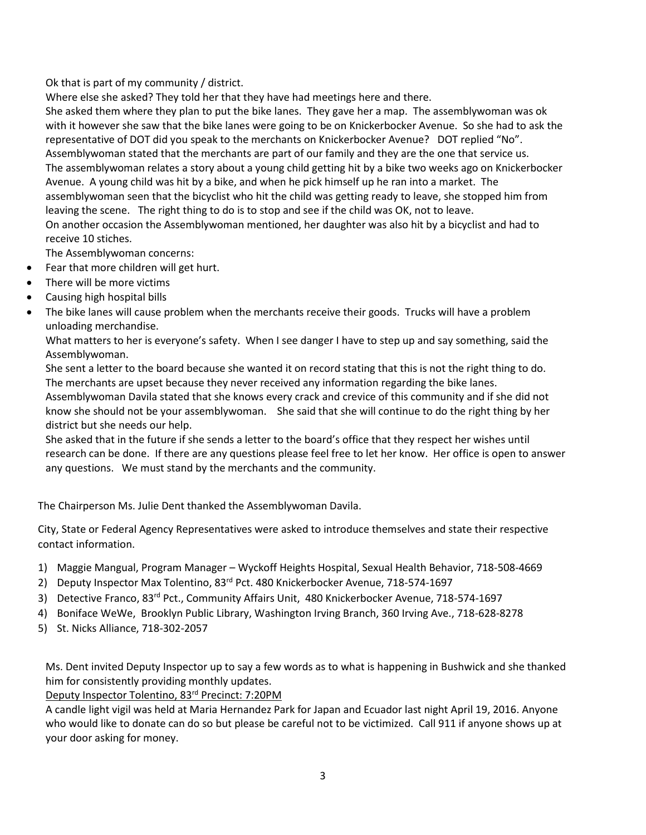Ok that is part of my community / district.

Where else she asked? They told her that they have had meetings here and there. She asked them where they plan to put the bike lanes. They gave her a map. The assemblywoman was ok with it however she saw that the bike lanes were going to be on Knickerbocker Avenue. So she had to ask the representative of DOT did you speak to the merchants on Knickerbocker Avenue? DOT replied "No". Assemblywoman stated that the merchants are part of our family and they are the one that service us. The assemblywoman relates a story about a young child getting hit by a bike two weeks ago on Knickerbocker Avenue. A young child was hit by a bike, and when he pick himself up he ran into a market. The assemblywoman seen that the bicyclist who hit the child was getting ready to leave, she stopped him from leaving the scene. The right thing to do is to stop and see if the child was OK, not to leave. On another occasion the Assemblywoman mentioned, her daughter was also hit by a bicyclist and had to receive 10 stiches.

The Assemblywoman concerns:

- Fear that more children will get hurt.
- There will be more victims
- Causing high hospital bills
- The bike lanes will cause problem when the merchants receive their goods. Trucks will have a problem unloading merchandise.

What matters to her is everyone's safety. When I see danger I have to step up and say something, said the Assemblywoman.

She sent a letter to the board because she wanted it on record stating that this is not the right thing to do. The merchants are upset because they never received any information regarding the bike lanes.

Assemblywoman Davila stated that she knows every crack and crevice of this community and if she did not know she should not be your assemblywoman. She said that she will continue to do the right thing by her district but she needs our help.

She asked that in the future if she sends a letter to the board's office that they respect her wishes until research can be done. If there are any questions please feel free to let her know. Her office is open to answer any questions. We must stand by the merchants and the community.

The Chairperson Ms. Julie Dent thanked the Assemblywoman Davila.

City, State or Federal Agency Representatives were asked to introduce themselves and state their respective contact information.

- 1) Maggie Mangual, Program Manager Wyckoff Heights Hospital, Sexual Health Behavior, 718-508-4669
- 2) Deputy Inspector Max Tolentino, 83<sup>rd</sup> Pct. 480 Knickerbocker Avenue, 718-574-1697
- 3) Detective Franco, 83rd Pct., Community Affairs Unit, 480 Knickerbocker Avenue, 718-574-1697
- 4) Boniface WeWe, Brooklyn Public Library, Washington Irving Branch, 360 Irving Ave., 718-628-8278
- 5) St. Nicks Alliance, 718-302-2057

Ms. Dent invited Deputy Inspector up to say a few words as to what is happening in Bushwick and she thanked him for consistently providing monthly updates.

Deputy Inspector Tolentino, 83<sup>rd</sup> Precinct: 7:20PM

A candle light vigil was held at Maria Hernandez Park for Japan and Ecuador last night April 19, 2016. Anyone who would like to donate can do so but please be careful not to be victimized. Call 911 if anyone shows up at your door asking for money.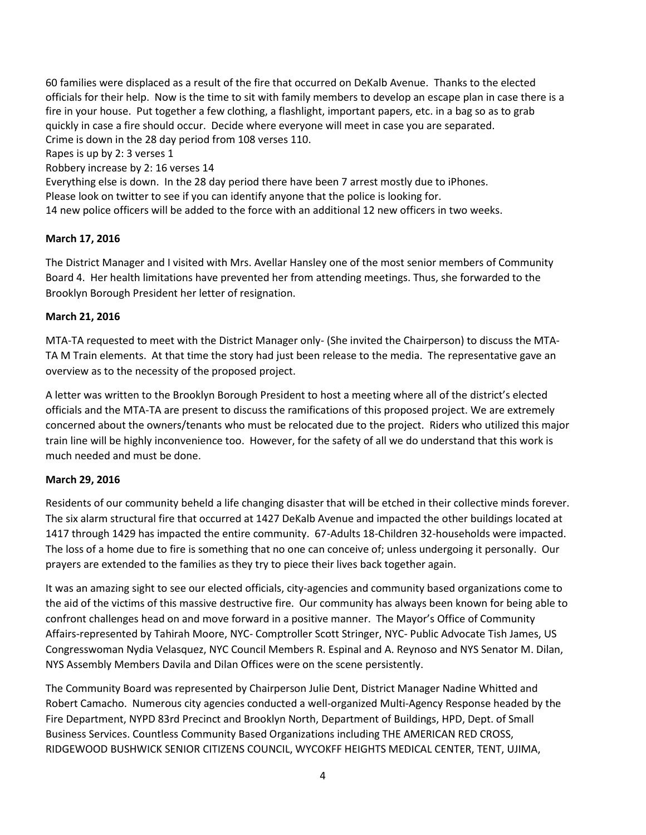60 families were displaced as a result of the fire that occurred on DeKalb Avenue. Thanks to the elected officials for their help. Now is the time to sit with family members to develop an escape plan in case there is a fire in your house. Put together a few clothing, a flashlight, important papers, etc. in a bag so as to grab quickly in case a fire should occur. Decide where everyone will meet in case you are separated. Crime is down in the 28 day period from 108 verses 110. Rapes is up by 2: 3 verses 1

Robbery increase by 2: 16 verses 14

Everything else is down. In the 28 day period there have been 7 arrest mostly due to iPhones. Please look on twitter to see if you can identify anyone that the police is looking for. 14 new police officers will be added to the force with an additional 12 new officers in two weeks.

#### **March 17, 2016**

The District Manager and I visited with Mrs. Avellar Hansley one of the most senior members of Community Board 4. Her health limitations have prevented her from attending meetings. Thus, she forwarded to the Brooklyn Borough President her letter of resignation.

#### **March 21, 2016**

MTA-TA requested to meet with the District Manager only- (She invited the Chairperson) to discuss the MTA-TA M Train elements. At that time the story had just been release to the media. The representative gave an overview as to the necessity of the proposed project.

A letter was written to the Brooklyn Borough President to host a meeting where all of the district's elected officials and the MTA-TA are present to discuss the ramifications of this proposed project. We are extremely concerned about the owners/tenants who must be relocated due to the project. Riders who utilized this major train line will be highly inconvenience too. However, for the safety of all we do understand that this work is much needed and must be done.

## **March 29, 2016**

Residents of our community beheld a life changing disaster that will be etched in their collective minds forever. The six alarm structural fire that occurred at 1427 DeKalb Avenue and impacted the other buildings located at 1417 through 1429 has impacted the entire community. 67-Adults 18-Children 32-households were impacted. The loss of a home due to fire is something that no one can conceive of; unless undergoing it personally. Our prayers are extended to the families as they try to piece their lives back together again.

It was an amazing sight to see our elected officials, city-agencies and community based organizations come to the aid of the victims of this massive destructive fire. Our community has always been known for being able to confront challenges head on and move forward in a positive manner. The Mayor's Office of Community Affairs-represented by Tahirah Moore, NYC- Comptroller Scott Stringer, NYC- Public Advocate Tish James, US Congresswoman Nydia Velasquez, NYC Council Members R. Espinal and A. Reynoso and NYS Senator M. Dilan, NYS Assembly Members Davila and Dilan Offices were on the scene persistently.

The Community Board was represented by Chairperson Julie Dent, District Manager Nadine Whitted and Robert Camacho. Numerous city agencies conducted a well-organized Multi-Agency Response headed by the Fire Department, NYPD 83rd Precinct and Brooklyn North, Department of Buildings, HPD, Dept. of Small Business Services. Countless Community Based Organizations including THE AMERICAN RED CROSS, RIDGEWOOD BUSHWICK SENIOR CITIZENS COUNCIL, WYCOKFF HEIGHTS MEDICAL CENTER, TENT, UJIMA,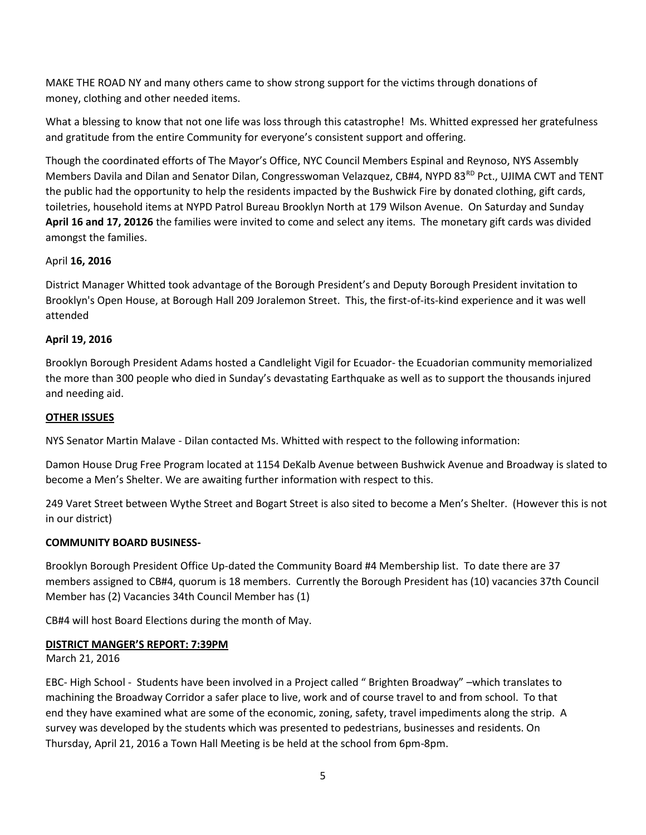MAKE THE ROAD NY and many others came to show strong support for the victims through donations of money, clothing and other needed items.

What a blessing to know that not one life was loss through this catastrophe! Ms. Whitted expressed her gratefulness and gratitude from the entire Community for everyone's consistent support and offering.

Though the coordinated efforts of The Mayor's Office, NYC Council Members Espinal and Reynoso, NYS Assembly Members Davila and Dilan and Senator Dilan, Congresswoman Velazquez, CB#4, NYPD 83<sup>RD</sup> Pct., UJIMA CWT and TENT the public had the opportunity to help the residents impacted by the Bushwick Fire by donated clothing, gift cards, toiletries, household items at NYPD Patrol Bureau Brooklyn North at 179 Wilson Avenue. On Saturday and Sunday **April 16 and 17, 20126** the families were invited to come and select any items. The monetary gift cards was divided amongst the families.

## April **16, 2016**

District Manager Whitted took advantage of the Borough President's and Deputy Borough President invitation to Brooklyn's Open House, at Borough Hall 209 Joralemon Street. This, the first-of-its-kind experience and it was well attended

## **April 19, 2016**

Brooklyn Borough President Adams hosted a Candlelight Vigil for Ecuador- the Ecuadorian community memorialized the more than 300 people who died in Sunday's devastating Earthquake as well as to support the thousands injured and needing aid.

## **OTHER ISSUES**

NYS Senator Martin Malave - Dilan contacted Ms. Whitted with respect to the following information:

Damon House Drug Free Program located at 1154 DeKalb Avenue between Bushwick Avenue and Broadway is slated to become a Men's Shelter. We are awaiting further information with respect to this.

249 Varet Street between Wythe Street and Bogart Street is also sited to become a Men's Shelter. (However this is not in our district)

## **COMMUNITY BOARD BUSINESS-**

Brooklyn Borough President Office Up-dated the Community Board #4 Membership list. To date there are 37 members assigned to CB#4, quorum is 18 members. Currently the Borough President has (10) vacancies 37th Council Member has (2) Vacancies 34th Council Member has (1)

CB#4 will host Board Elections during the month of May.

## **DISTRICT MANGER'S REPORT: 7:39PM**

March 21, 2016

EBC- High School - Students have been involved in a Project called " Brighten Broadway" –which translates to machining the Broadway Corridor a safer place to live, work and of course travel to and from school. To that end they have examined what are some of the economic, zoning, safety, travel impediments along the strip. A survey was developed by the students which was presented to pedestrians, businesses and residents. On Thursday, April 21, 2016 a Town Hall Meeting is be held at the school from 6pm-8pm.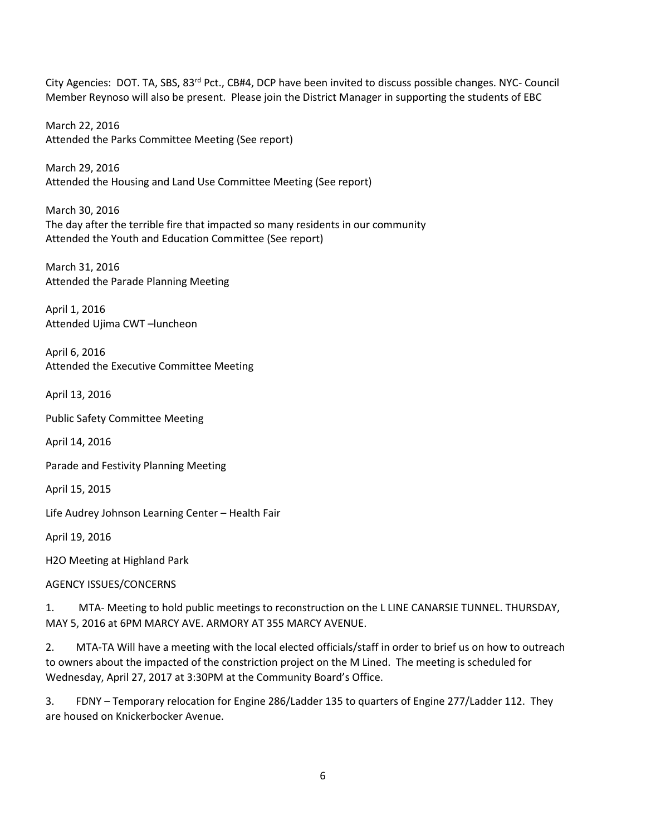City Agencies: DOT. TA, SBS, 83<sup>rd</sup> Pct., CB#4, DCP have been invited to discuss possible changes. NYC- Council Member Reynoso will also be present. Please join the District Manager in supporting the students of EBC

March 22, 2016 Attended the Parks Committee Meeting (See report)

March 29, 2016 Attended the Housing and Land Use Committee Meeting (See report)

March 30, 2016 The day after the terrible fire that impacted so many residents in our community Attended the Youth and Education Committee (See report)

March 31, 2016 Attended the Parade Planning Meeting

April 1, 2016 Attended Ujima CWT –luncheon

April 6, 2016 Attended the Executive Committee Meeting

April 13, 2016

Public Safety Committee Meeting

April 14, 2016

Parade and Festivity Planning Meeting

April 15, 2015

Life Audrey Johnson Learning Center – Health Fair

April 19, 2016

H2O Meeting at Highland Park

AGENCY ISSUES/CONCERNS

1. MTA- Meeting to hold public meetings to reconstruction on the L LINE CANARSIE TUNNEL. THURSDAY, MAY 5, 2016 at 6PM MARCY AVE. ARMORY AT 355 MARCY AVENUE.

2. MTA-TA Will have a meeting with the local elected officials/staff in order to brief us on how to outreach to owners about the impacted of the constriction project on the M Lined. The meeting is scheduled for Wednesday, April 27, 2017 at 3:30PM at the Community Board's Office.

3. FDNY – Temporary relocation for Engine 286/Ladder 135 to quarters of Engine 277/Ladder 112. They are housed on Knickerbocker Avenue.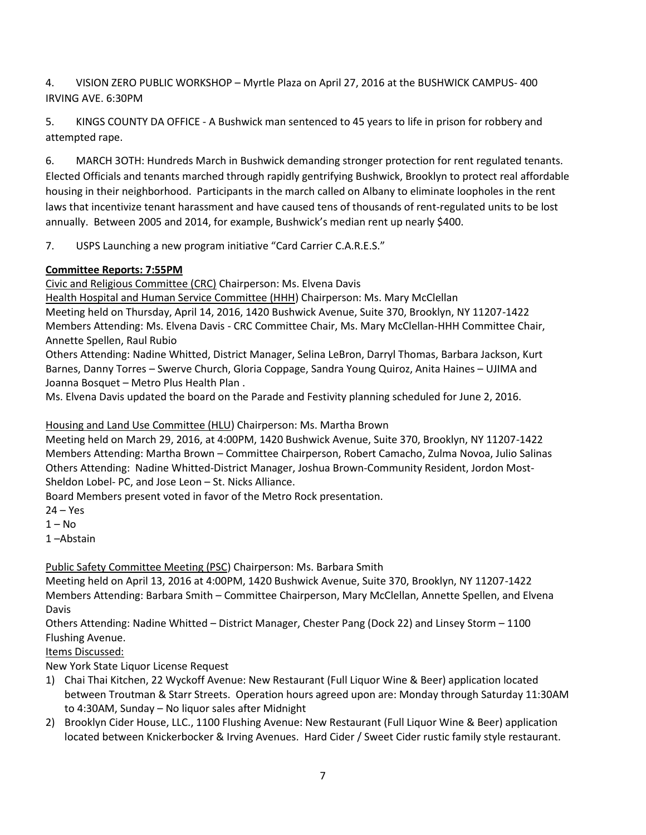4. VISION ZERO PUBLIC WORKSHOP – Myrtle Plaza on April 27, 2016 at the BUSHWICK CAMPUS- 400 IRVING AVE. 6:30PM

5. KINGS COUNTY DA OFFICE - A Bushwick man sentenced to 45 years to life in prison for robbery and attempted rape.

6. MARCH 3OTH: Hundreds March in Bushwick demanding stronger protection for rent regulated tenants. Elected Officials and tenants marched through rapidly gentrifying Bushwick, Brooklyn to protect real affordable housing in their neighborhood. Participants in the march called on Albany to eliminate loopholes in the rent laws that incentivize tenant harassment and have caused tens of thousands of rent-regulated units to be lost annually. Between 2005 and 2014, for example, Bushwick's median rent up nearly \$400.

7. USPS Launching a new program initiative "Card Carrier C.A.R.E.S."

# **Committee Reports: 7:55PM**

Civic and Religious Committee (CRC) Chairperson: Ms. Elvena Davis

Health Hospital and Human Service Committee (HHH) Chairperson: Ms. Mary McClellan Meeting held on Thursday, April 14, 2016, 1420 Bushwick Avenue, Suite 370, Brooklyn, NY 11207-1422 Members Attending: Ms. Elvena Davis - CRC Committee Chair, Ms. Mary McClellan-HHH Committee Chair, Annette Spellen, Raul Rubio

Others Attending: Nadine Whitted, District Manager, Selina LeBron, Darryl Thomas, Barbara Jackson, Kurt Barnes, Danny Torres – Swerve Church, Gloria Coppage, Sandra Young Quiroz, Anita Haines – UJIMA and Joanna Bosquet – Metro Plus Health Plan .

Ms. Elvena Davis updated the board on the Parade and Festivity planning scheduled for June 2, 2016.

# Housing and Land Use Committee (HLU) Chairperson: Ms. Martha Brown

Meeting held on March 29, 2016, at 4:00PM, 1420 Bushwick Avenue, Suite 370, Brooklyn, NY 11207-1422 Members Attending: Martha Brown – Committee Chairperson, Robert Camacho, Zulma Novoa, Julio Salinas Others Attending: Nadine Whitted-District Manager, Joshua Brown-Community Resident, Jordon Most-Sheldon Lobel- PC, and Jose Leon – St. Nicks Alliance.

Board Members present voted in favor of the Metro Rock presentation.

- $24 Yes$
- $1 No$

1 –Abstain

# Public Safety Committee Meeting (PSC) Chairperson: Ms. Barbara Smith

Meeting held on April 13, 2016 at 4:00PM, 1420 Bushwick Avenue, Suite 370, Brooklyn, NY 11207-1422 Members Attending: Barbara Smith – Committee Chairperson, Mary McClellan, Annette Spellen, and Elvena Davis

Others Attending: Nadine Whitted – District Manager, Chester Pang (Dock 22) and Linsey Storm – 1100 Flushing Avenue.

Items Discussed:

New York State Liquor License Request

- 1) Chai Thai Kitchen, 22 Wyckoff Avenue: New Restaurant (Full Liquor Wine & Beer) application located between Troutman & Starr Streets. Operation hours agreed upon are: Monday through Saturday 11:30AM to 4:30AM, Sunday – No liquor sales after Midnight
- 2) Brooklyn Cider House, LLC., 1100 Flushing Avenue: New Restaurant (Full Liquor Wine & Beer) application located between Knickerbocker & Irving Avenues. Hard Cider / Sweet Cider rustic family style restaurant.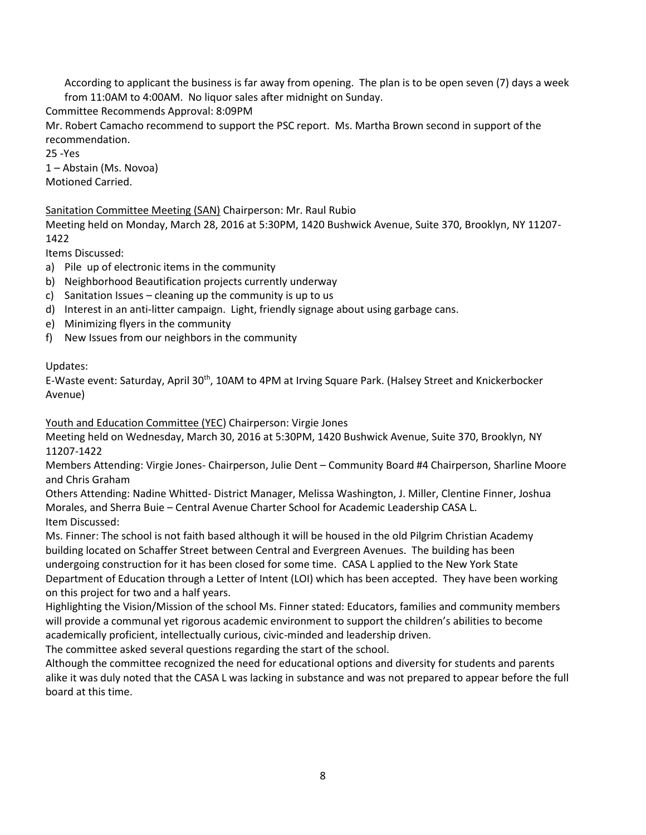According to applicant the business is far away from opening. The plan is to be open seven (7) days a week from 11:0AM to 4:00AM. No liquor sales after midnight on Sunday.

Committee Recommends Approval: 8:09PM

Mr. Robert Camacho recommend to support the PSC report. Ms. Martha Brown second in support of the recommendation.

25 -Yes

1 – Abstain (Ms. Novoa)

Motioned Carried.

## Sanitation Committee Meeting (SAN) Chairperson: Mr. Raul Rubio

Meeting held on Monday, March 28, 2016 at 5:30PM, 1420 Bushwick Avenue, Suite 370, Brooklyn, NY 11207- 1422

Items Discussed:

- a) Pile up of electronic items in the community
- b) Neighborhood Beautification projects currently underway
- c) Sanitation Issues cleaning up the community is up to us
- d) Interest in an anti-litter campaign. Light, friendly signage about using garbage cans.
- e) Minimizing flyers in the community
- f) New Issues from our neighbors in the community

## Updates:

E-Waste event: Saturday, April 30<sup>th</sup>, 10AM to 4PM at Irving Square Park. (Halsey Street and Knickerbocker Avenue)

Youth and Education Committee (YEC) Chairperson: Virgie Jones

Meeting held on Wednesday, March 30, 2016 at 5:30PM, 1420 Bushwick Avenue, Suite 370, Brooklyn, NY 11207-1422

Members Attending: Virgie Jones- Chairperson, Julie Dent – Community Board #4 Chairperson, Sharline Moore and Chris Graham

Others Attending: Nadine Whitted- District Manager, Melissa Washington, J. Miller, Clentine Finner, Joshua Morales, and Sherra Buie – Central Avenue Charter School for Academic Leadership CASA L. Item Discussed:

Ms. Finner: The school is not faith based although it will be housed in the old Pilgrim Christian Academy building located on Schaffer Street between Central and Evergreen Avenues. The building has been undergoing construction for it has been closed for some time. CASA L applied to the New York State Department of Education through a Letter of Intent (LOI) which has been accepted. They have been working on this project for two and a half years.

Highlighting the Vision/Mission of the school Ms. Finner stated: Educators, families and community members will provide a communal yet rigorous academic environment to support the children's abilities to become academically proficient, intellectually curious, civic-minded and leadership driven.

The committee asked several questions regarding the start of the school.

Although the committee recognized the need for educational options and diversity for students and parents alike it was duly noted that the CASA L was lacking in substance and was not prepared to appear before the full board at this time.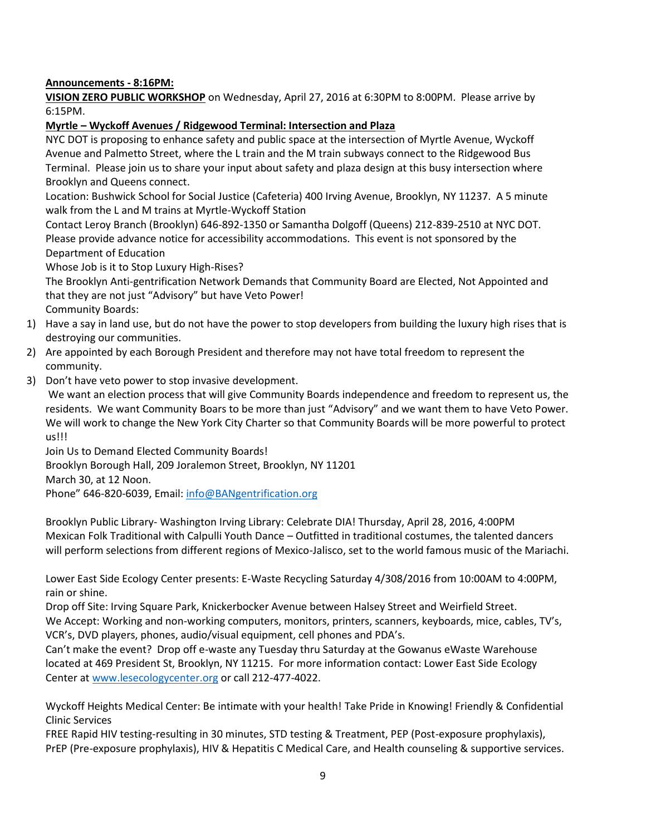#### **Announcements - 8:16PM:**

**VISION ZERO PUBLIC WORKSHOP** on Wednesday, April 27, 2016 at 6:30PM to 8:00PM. Please arrive by 6:15PM.

#### **Myrtle – Wyckoff Avenues / Ridgewood Terminal: Intersection and Plaza**

NYC DOT is proposing to enhance safety and public space at the intersection of Myrtle Avenue, Wyckoff Avenue and Palmetto Street, where the L train and the M train subways connect to the Ridgewood Bus Terminal. Please join us to share your input about safety and plaza design at this busy intersection where Brooklyn and Queens connect.

Location: Bushwick School for Social Justice (Cafeteria) 400 Irving Avenue, Brooklyn, NY 11237. A 5 minute walk from the L and M trains at Myrtle-Wyckoff Station

Contact Leroy Branch (Brooklyn) 646-892-1350 or Samantha Dolgoff (Queens) 212-839-2510 at NYC DOT. Please provide advance notice for accessibility accommodations. This event is not sponsored by the Department of Education

Whose Job is it to Stop Luxury High-Rises?

The Brooklyn Anti-gentrification Network Demands that Community Board are Elected, Not Appointed and that they are not just "Advisory" but have Veto Power! Community Boards:

- 1) Have a say in land use, but do not have the power to stop developers from building the luxury high rises that is destroying our communities.
- 2) Are appointed by each Borough President and therefore may not have total freedom to represent the community.
- 3) Don't have veto power to stop invasive development.

We want an election process that will give Community Boards independence and freedom to represent us, the residents. We want Community Boars to be more than just "Advisory" and we want them to have Veto Power. We will work to change the New York City Charter so that Community Boards will be more powerful to protect us!!!

Join Us to Demand Elected Community Boards! Brooklyn Borough Hall, 209 Joralemon Street, Brooklyn, NY 11201 March 30, at 12 Noon. Phone" 646-820-6039, Email: [info@BANgentrification.org](mailto:info@BANgentrification.org)

Brooklyn Public Library- Washington Irving Library: Celebrate DIA! Thursday, April 28, 2016, 4:00PM Mexican Folk Traditional with Calpulli Youth Dance – Outfitted in traditional costumes, the talented dancers will perform selections from different regions of Mexico-Jalisco, set to the world famous music of the Mariachi.

Lower East Side Ecology Center presents: E-Waste Recycling Saturday 4/308/2016 from 10:00AM to 4:00PM, rain or shine.

Drop off Site: Irving Square Park, Knickerbocker Avenue between Halsey Street and Weirfield Street. We Accept: Working and non-working computers, monitors, printers, scanners, keyboards, mice, cables, TV's, VCR's, DVD players, phones, audio/visual equipment, cell phones and PDA's.

Can't make the event? Drop off e-waste any Tuesday thru Saturday at the Gowanus eWaste Warehouse located at 469 President St, Brooklyn, NY 11215. For more information contact: Lower East Side Ecology Center at [www.lesecologycenter.org](http://www.lesecologycenter.org/) or call 212-477-4022.

Wyckoff Heights Medical Center: Be intimate with your health! Take Pride in Knowing! Friendly & Confidential Clinic Services

FREE Rapid HIV testing-resulting in 30 minutes, STD testing & Treatment, PEP (Post-exposure prophylaxis), PrEP (Pre-exposure prophylaxis), HIV & Hepatitis C Medical Care, and Health counseling & supportive services.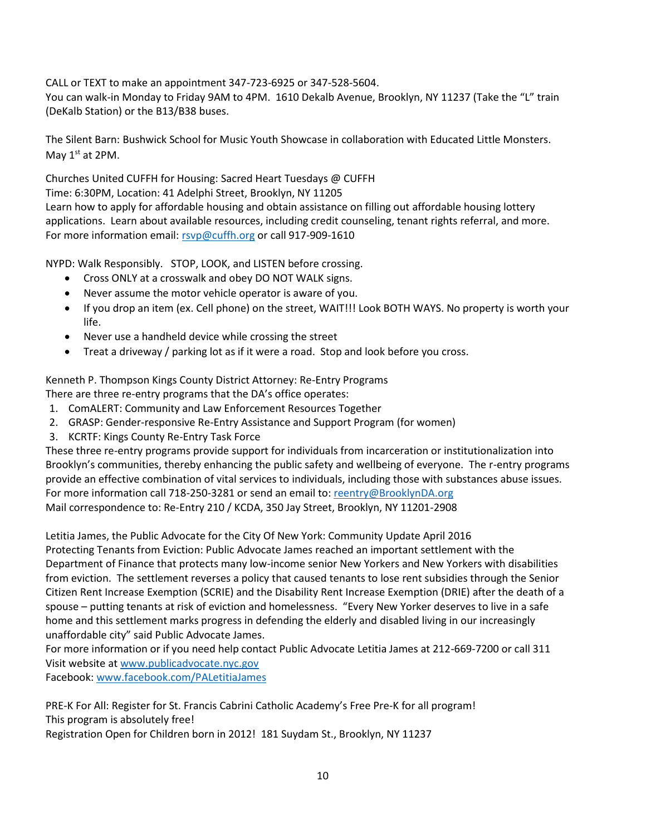CALL or TEXT to make an appointment 347-723-6925 or 347-528-5604.

You can walk-in Monday to Friday 9AM to 4PM. 1610 Dekalb Avenue, Brooklyn, NY 11237 (Take the "L" train (DeKalb Station) or the B13/B38 buses.

The Silent Barn: Bushwick School for Music Youth Showcase in collaboration with Educated Little Monsters. May  $1<sup>st</sup>$  at 2PM.

Churches United CUFFH for Housing: Sacred Heart Tuesdays @ CUFFH Time: 6:30PM, Location: 41 Adelphi Street, Brooklyn, NY 11205 Learn how to apply for affordable housing and obtain assistance on filling out affordable housing lottery applications. Learn about available resources, including credit counseling, tenant rights referral, and more. For more information email: [rsvp@cuffh.org](mailto:rsvp@cuffh.org) or call 917-909-1610

NYPD: Walk Responsibly. STOP, LOOK, and LISTEN before crossing.

- Cross ONLY at a crosswalk and obey DO NOT WALK signs.
- Never assume the motor vehicle operator is aware of you.
- If you drop an item (ex. Cell phone) on the street, WAIT!!! Look BOTH WAYS. No property is worth your life.
- Never use a handheld device while crossing the street
- Treat a driveway / parking lot as if it were a road. Stop and look before you cross.

Kenneth P. Thompson Kings County District Attorney: Re-Entry Programs

There are three re-entry programs that the DA's office operates:

- 1. ComALERT: Community and Law Enforcement Resources Together
- 2. GRASP: Gender-responsive Re-Entry Assistance and Support Program (for women)
- 3. KCRTF: Kings County Re-Entry Task Force

These three re-entry programs provide support for individuals from incarceration or institutionalization into Brooklyn's communities, thereby enhancing the public safety and wellbeing of everyone. The r-entry programs provide an effective combination of vital services to individuals, including those with substances abuse issues. For more information call 718-250-3281 or send an email to: [reentry@BrooklynDA.org](mailto:reentry@BrooklynDA.org) Mail correspondence to: Re-Entry 210 / KCDA, 350 Jay Street, Brooklyn, NY 11201-2908

Letitia James, the Public Advocate for the City Of New York: Community Update April 2016 Protecting Tenants from Eviction: Public Advocate James reached an important settlement with the Department of Finance that protects many low-income senior New Yorkers and New Yorkers with disabilities from eviction. The settlement reverses a policy that caused tenants to lose rent subsidies through the Senior Citizen Rent Increase Exemption (SCRIE) and the Disability Rent Increase Exemption (DRIE) after the death of a spouse – putting tenants at risk of eviction and homelessness. "Every New Yorker deserves to live in a safe home and this settlement marks progress in defending the elderly and disabled living in our increasingly unaffordable city" said Public Advocate James.

For more information or if you need help contact Public Advocate Letitia James at 212-669-7200 or call 311 Visit website at [www.publicadvocate.nyc.gov](http://www.publicadvocate.nyc.gov/)

Facebook: [www.facebook.com/PALetitiaJames](http://www.facebook.com/PALetitiaJames)

PRE-K For All: Register for St. Francis Cabrini Catholic Academy's Free Pre-K for all program! This program is absolutely free!

Registration Open for Children born in 2012! 181 Suydam St., Brooklyn, NY 11237